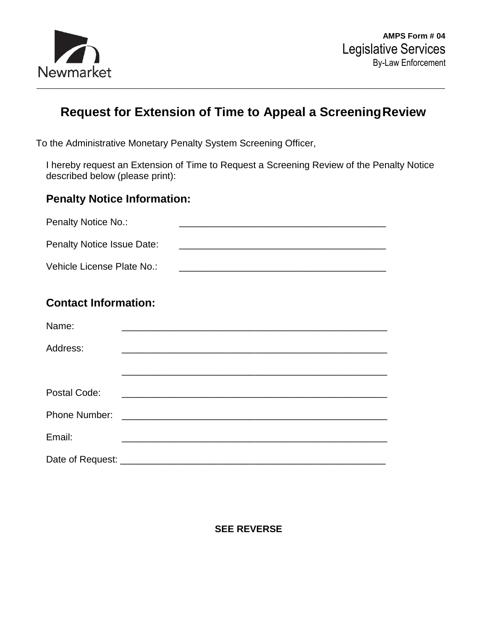

## **Request for Extension of Time to Appeal a ScreeningReview**

To the Administrative Monetary Penalty System Screening Officer,

I hereby request an Extension of Time to Request a Screening Review of the Penalty Notice described below (please print):

## **Penalty Notice Information:**

| <b>Penalty Notice No.:</b>        |                                                                                                                      |  |
|-----------------------------------|----------------------------------------------------------------------------------------------------------------------|--|
| <b>Penalty Notice Issue Date:</b> |                                                                                                                      |  |
| Vehicle License Plate No.:        | <u> 1989 - Johann Barn, mars an t-Amerikaansk politiker (* 1908)</u>                                                 |  |
| <b>Contact Information:</b>       |                                                                                                                      |  |
| Name:                             |                                                                                                                      |  |
| Address:                          | <u> 2000 - Jan James James James James James James James James James James James James James James James James J</u> |  |
|                                   |                                                                                                                      |  |
| Postal Code:                      | <u> 2000 - Andrea Andrew Maria (h. 1888).</u>                                                                        |  |
| <b>Phone Number:</b>              |                                                                                                                      |  |
| Email:                            |                                                                                                                      |  |
|                                   |                                                                                                                      |  |

## **SEE REVERSE**